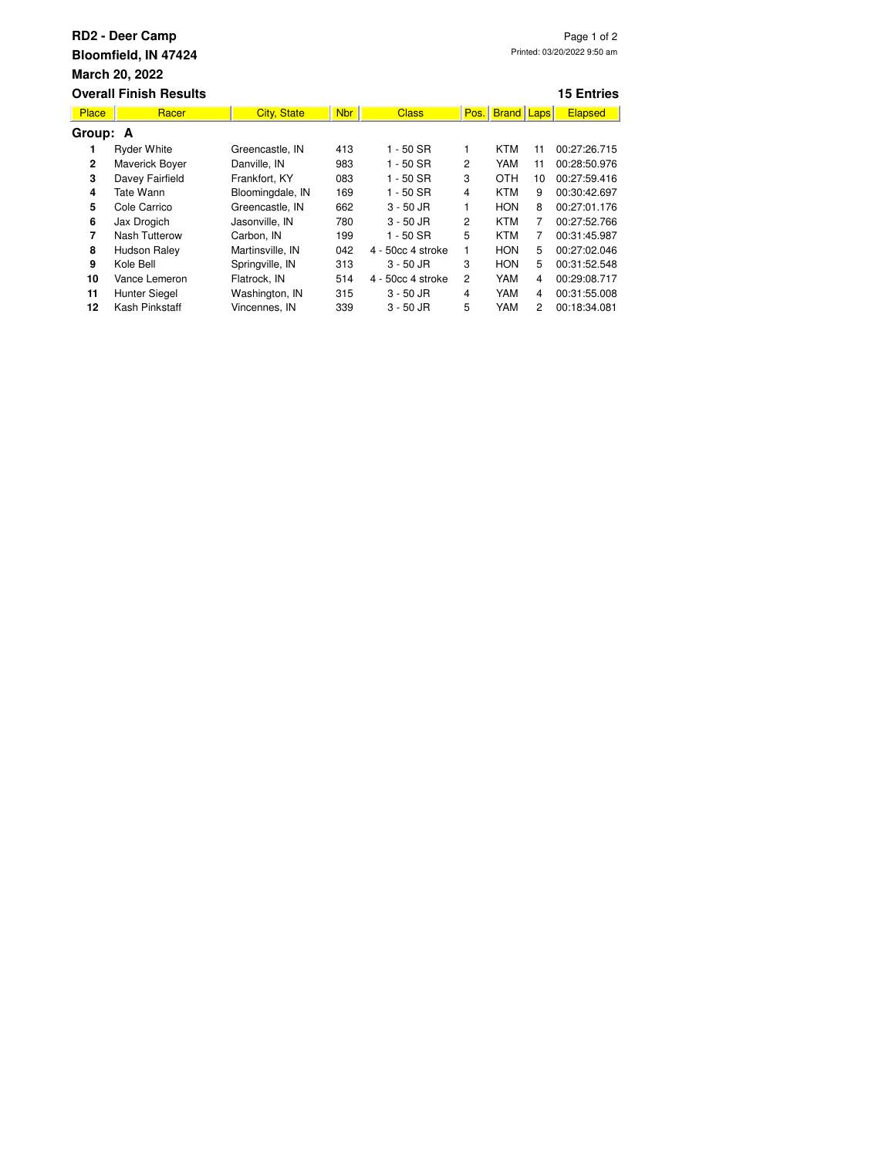| <b>RD2 - Deer Camp</b><br>Page 1 of 2<br>Printed: 03/20/2022 9:50 am<br>Bloomfield, IN 47424<br><b>March 20, 2022</b><br><b>Overall Finish Results</b><br><b>15 Entries</b> |                      |                    |            |                   |                |                   |    |                |  |  |  |  |
|-----------------------------------------------------------------------------------------------------------------------------------------------------------------------------|----------------------|--------------------|------------|-------------------|----------------|-------------------|----|----------------|--|--|--|--|
| <b>Place</b>                                                                                                                                                                | Racer                | <b>City, State</b> | <b>Nbr</b> | <b>Class</b>      | Pos.           | <b>Brand Laps</b> |    | <b>Elapsed</b> |  |  |  |  |
| Group: A                                                                                                                                                                    |                      |                    |            |                   |                |                   |    |                |  |  |  |  |
| 1                                                                                                                                                                           | <b>Ryder White</b>   | Greencastle, IN    | 413        | 1 - 50 SR         | 1              | <b>KTM</b>        | 11 | 00:27:26.715   |  |  |  |  |
| 2                                                                                                                                                                           | Maverick Boyer       | Danville, IN       | 983        | 1 - 50 SR         | 2              | YAM               | 11 | 00:28:50.976   |  |  |  |  |
| 3                                                                                                                                                                           | Davey Fairfield      | Frankfort, KY      | 083        | 1 - 50 SR         | 3              | <b>OTH</b>        | 10 | 00:27:59.416   |  |  |  |  |
| 4                                                                                                                                                                           | Tate Wann            | Bloomingdale, IN   | 169        | $1 - 50$ SR       | 4              | <b>KTM</b>        | 9  | 00:30:42.697   |  |  |  |  |
| 5                                                                                                                                                                           | Cole Carrico         | Greencastle, IN    | 662        | $3 - 50$ JR       | 1              | <b>HON</b>        | 8  | 00:27:01.176   |  |  |  |  |
| 6                                                                                                                                                                           | Jax Drogich          | Jasonville, IN     | 780        | $3 - 50$ JR       | 2              | <b>KTM</b>        | 7  | 00:27:52.766   |  |  |  |  |
| 7                                                                                                                                                                           | <b>Nash Tutterow</b> | Carbon, IN         | 199        | 1 - 50 SR         | 5              | KTM               | 7  | 00:31:45.987   |  |  |  |  |
| 8                                                                                                                                                                           | Hudson Raley         | Martinsville, IN   | 042        | 4 - 50cc 4 stroke | 1              | <b>HON</b>        | 5  | 00:27:02.046   |  |  |  |  |
| 9                                                                                                                                                                           | Kole Bell            | Springville, IN    | 313        | $3 - 50$ JR       | 3              | <b>HON</b>        | 5  | 00:31:52.548   |  |  |  |  |
| 10                                                                                                                                                                          | Vance Lemeron        | Flatrock, IN       | 514        | 4 - 50cc 4 stroke | $\overline{c}$ | YAM               | 4  | 00:29:08.717   |  |  |  |  |
| 11                                                                                                                                                                          | Hunter Siegel        | Washington, IN     | 315        | 3 - 50 JR         | 4              | YAM               | 4  | 00:31:55.008   |  |  |  |  |
| 12                                                                                                                                                                          | Kash Pinkstaff       | Vincennes, IN      | 339        | $3 - 50$ JR       | 5              | YAM               | 2  | 00:18:34.081   |  |  |  |  |